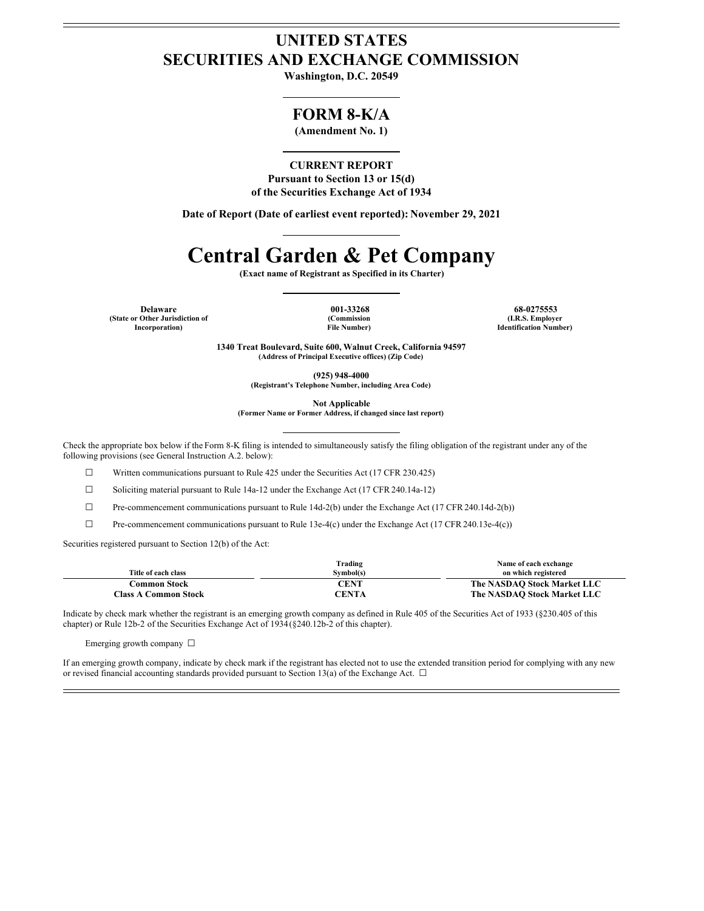## **UNITED STATES SECURITIES AND EXCHANGE COMMISSION**

**Washington, D.C. 20549**

### **FORM 8-K/A**

**(Amendment No. 1)**

#### **CURRENT REPORT**

**Pursuant to Section 13 or 15(d) of the Securities Exchange Act of 1934**

**Date of Report (Date of earliest event reported): November 29, 2021**

# **Central Garden & Pet Company**

**(Exact name of Registrant as Specified in its Charter)**

**Delaware 001-33268 68-0275553 (State or Other Jurisdiction of Incorporation)**

**(Commission File Number)**

**(I.R.S. Employer Identification Number)**

**1340 Treat Boulevard, Suite 600, Walnut Creek, California 94597 (Address of Principal Executive offices) (Zip Code)**

**(925) 948-4000**

**(Registrant's Telephone Number, including Area Code)**

**Not Applicable**

**(Former Name or Former Address, if changed since last report)**

Check the appropriate box below if the Form 8-K filing is intended to simultaneously satisfy the filing obligation of the registrant under any of the following provisions (see General Instruction A.2. below):

☐ Written communications pursuant to Rule 425 under the Securities Act (17 CFR 230.425)

☐ Soliciting material pursuant to Rule 14a-12 under the Exchange Act (17 CFR 240.14a-12)

☐ Pre-commencement communications pursuant to Rule 14d-2(b) under the Exchange Act (17 CFR240.14d-2(b))

☐ Pre-commencement communications pursuant to Rule 13e-4(c) under the Exchange Act (17 CFR240.13e-4(c))

Securities registered pursuant to Section 12(b) of the Act:

|                             | Trading   | Name of each exchange       |
|-----------------------------|-----------|-----------------------------|
| Title of each class         | Symbol(s) | on which registered         |
| Common Stock                | CENT      | The NASDAO Stock Market LLC |
| <b>Class A Common Stock</b> | CENTA     | The NASDAQ Stock Market LLC |

Indicate by check mark whether the registrant is an emerging growth company as defined in Rule 405 of the Securities Act of 1933 (§230.405 of this chapter) or Rule 12b-2 of the Securities Exchange Act of 1934(§240.12b-2 of this chapter).

Emerging growth company ☐

If an emerging growth company, indicate by check mark if the registrant has elected not to use the extended transition period for complying with any new or revised financial accounting standards provided pursuant to Section 13(a) of the Exchange Act.  $\Box$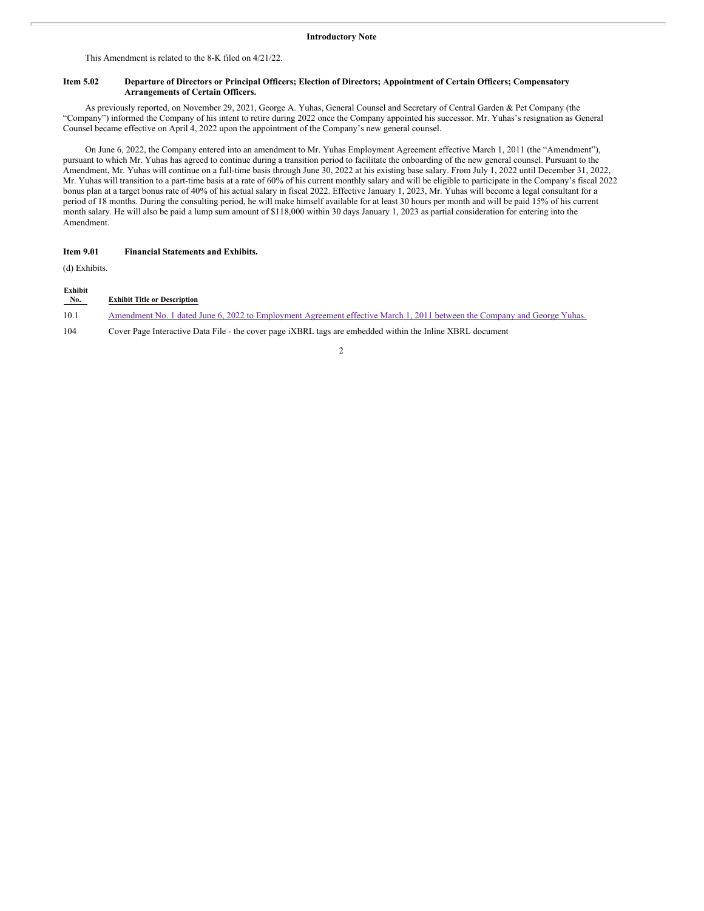This Amendment is related to the 8-K filed on 4/21/22.

#### Item 5.02 Departure of Directors or Principal Officers; Election of Directors; Appointment of Certain Officers; Compensatory **Arrangements of Certain Officers.**

As previously reported, on November 29, 2021, George A. Yuhas, General Counsel and Secretary of Central Garden & Pet Company (the "Company") informed the Company of his intent to retire during 2022 once the Company appointed his successor. Mr. Yuhas's resignation as General Counsel became effective on April 4, 2022 upon the appointment of the Company's new general counsel.

On June 6, 2022, the Company entered into an amendment to Mr. Yuhas Employment Agreement effective March 1, 2011 (the "Amendment"), pursuant to which Mr. Yuhas has agreed to continue during a transition period to facilitate the onboarding of the new general counsel. Pursuant to the Amendment, Mr. Yuhas will continue on a full-time basis through June 30, 2022 at his existing base salary. From July 1, 2022 until December 31, 2022, Mr. Yuhas will transition to a part-time basis at a rate of 60% of his current monthly salary and will be eligible to participate in the Company's fiscal 2022 bonus plan at a target bonus rate of 40% of his actual salary in fiscal 2022. Effective January 1, 2023, Mr. Yuhas will become a legal consultant for a period of 18 months. During the consulting period, he will make himself available for at least 30 hours per month and will be paid 15% of his current month salary. He will also be paid a lump sum amount of \$118,000 within 30 days January 1, 2023 as partial consideration for entering into the Amendment.

#### **Item 9.01 Financial Statements and Exhibits.**

(d) Exhibits.

| Exhibit<br>No. | <b>Exhibit Title or Description</b>                                                                                      |
|----------------|--------------------------------------------------------------------------------------------------------------------------|
| 10.1           | Amendment No. 1 dated June 6, 2022 to Employment Agreement effective March 1, 2011 between the Company and George Yuhas. |
| 104            | Cover Page Interactive Data File - the cover page <i>iXBRL</i> tags are embedded within the Inline XBRL document         |

2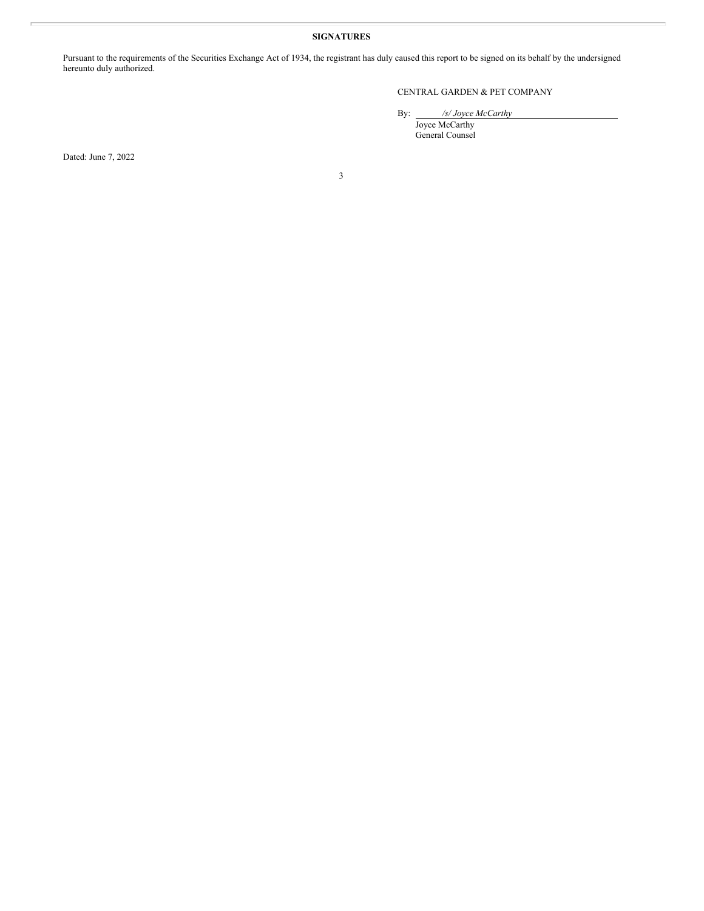#### **SIGNATURES**

Pursuant to the requirements of the Securities Exchange Act of 1934, the registrant has duly caused this report to be signed on its behalf by the undersigned hereunto duly authorized.

#### CENTRAL GARDEN & PET COMPANY

By: */s/ Joyce McCarthy*

Joyce McCarthy General Counsel

Dated: June 7, 2022

3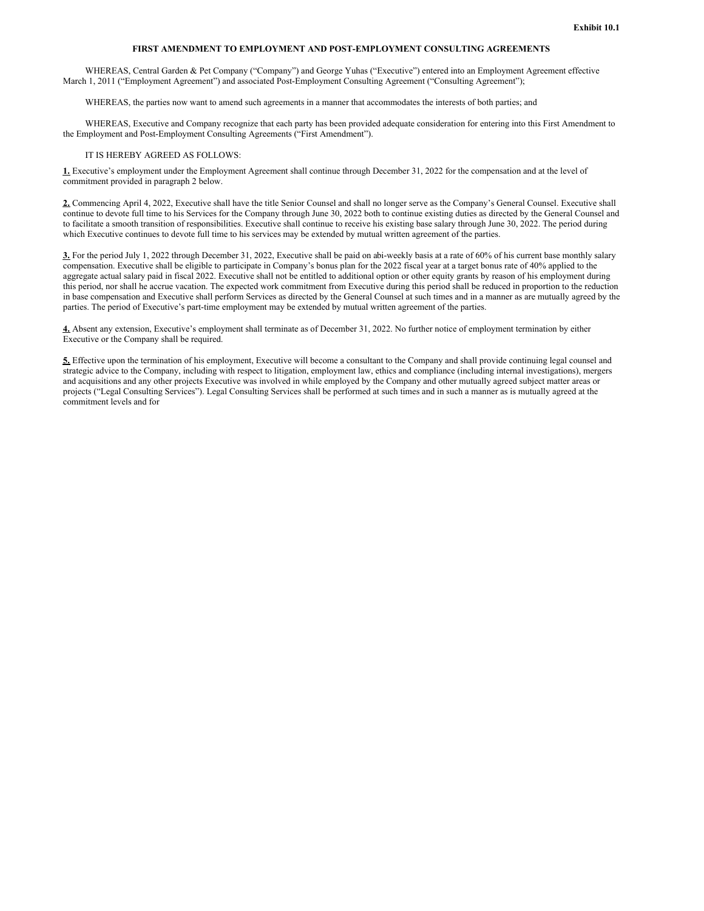#### **FIRST AMENDMENT TO EMPLOYMENT AND POST-EMPLOYMENT CONSULTING AGREEMENTS**

<span id="page-3-0"></span>WHEREAS, Central Garden & Pet Company ("Company") and George Yuhas ("Executive") entered into an Employment Agreement effective March 1, 2011 ("Employment Agreement") and associated Post-Employment Consulting Agreement ("Consulting Agreement");

WHEREAS, the parties now want to amend such agreements in a manner that accommodates the interests of both parties; and

WHEREAS, Executive and Company recognize that each party has been provided adequate consideration for entering into this First Amendment to the Employment and Post-Employment Consulting Agreements ("First Amendment").

#### IT IS HEREBY AGREED AS FOLLOWS:

**1.** Executive's employment under the Employment Agreement shall continue through December 31, 2022 for the compensation and at the level of commitment provided in paragraph 2 below.

**2.** Commencing April 4, 2022, Executive shall have the title Senior Counsel and shall no longer serve as the Company's General Counsel. Executive shall continue to devote full time to his Services for the Company through June 30, 2022 both to continue existing duties as directed by the General Counsel and to facilitate a smooth transition of responsibilities. Executive shall continue to receive his existing base salary through June 30, 2022. The period during which Executive continues to devote full time to his services may be extended by mutual written agreement of the parties.

**3.** For the period July 1, 2022 through December 31, 2022, Executive shall be paid on abi-weekly basis at a rate of 60% of his current base monthly salary compensation. Executive shall be eligible to participate in Company's bonus plan for the 2022 fiscal year at a target bonus rate of 40% applied to the aggregate actual salary paid in fiscal 2022. Executive shall not be entitled to additional option or other equity grants by reason of his employment during this period, nor shall he accrue vacation. The expected work commitment from Executive during this period shall be reduced in proportion to the reduction in base compensation and Executive shall perform Services as directed by the General Counsel at such times and in a manner as are mutually agreed by the parties. The period of Executive's part-time employment may be extended by mutual written agreement of the parties.

**4.** Absent any extension, Executive's employment shall terminate as of December 31, 2022. No further notice of employment termination by either Executive or the Company shall be required.

**5.** Effective upon the termination of his employment, Executive will become a consultant to the Company and shall provide continuing legal counsel and strategic advice to the Company, including with respect to litigation, employment law, ethics and compliance (including internal investigations), mergers and acquisitions and any other projects Executive was involved in while employed by the Company and other mutually agreed subject matter areas or projects ("Legal Consulting Services"). Legal Consulting Services shall be performed at such times and in such a manner as is mutually agreed at the commitment levels and for